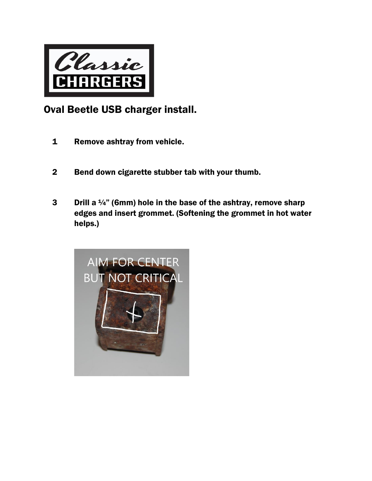

## Oval Beetle USB charger install.

- 1 Remove ashtray from vehicle.
- 2 Bend down cigarette stubber tab with your thumb.
- 3 Drill a  $\frac{1}{4}$ " (6mm) hole in the base of the ashtray, remove sharp edges and insert grommet. (Softening the grommet in hot water helps.)

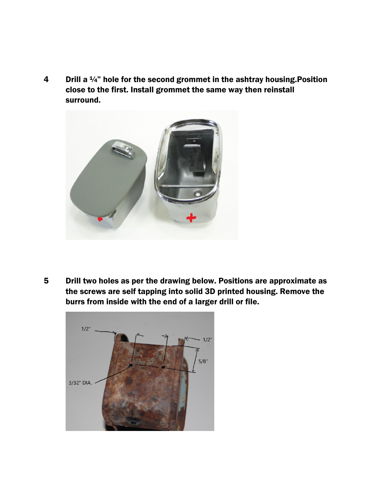4 Drill a 1/4" hole for the second grommet in the ashtray housing. Position close to the first. Install grommet the same way then reinstall surround.



5 Drill two holes as per the drawing below. Positions are approximate as the screws are self tapping into solid 3D printed housing. Remove the burrs from inside with the end of a larger drill or file.

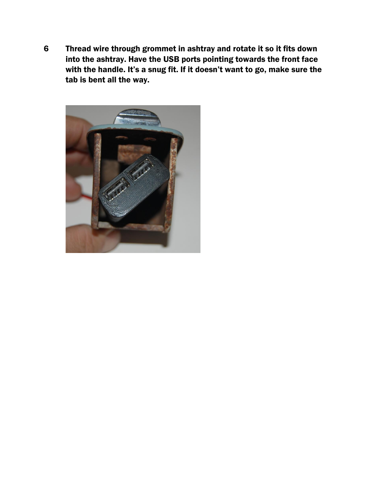6 Thread wire through grommet in ashtray and rotate it so it fits down into the ashtray. Have the USB ports pointing towards the front face with the handle. It's a snug fit. If it doesn't want to go, make sure the tab is bent all the way.

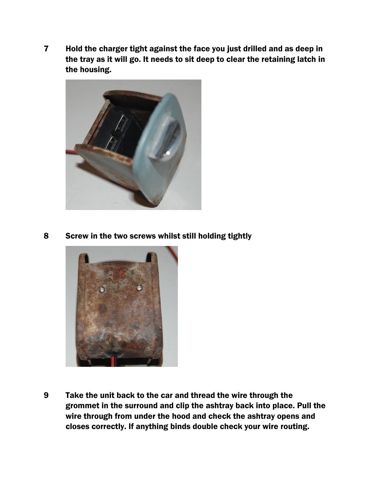7 Hold the charger tight against the face you just drilled and as deep in the tray as it will go. It needs to sit deep to clear the retaining latch in the housing.



8 Screw in the two screws whilst still holding tightly



9 Take the unit back to the car and thread the wire through the grommet in the surround and clip the ashtray back into place. Pull the wire through from under the hood and check the ashtray opens and closes correctly. If anything binds double check your wire routing.